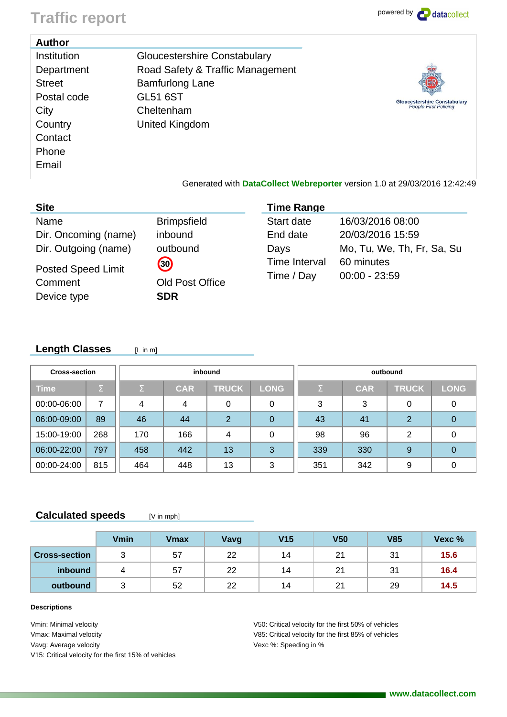# Traffic report **powered by containing the set of the contract of the set of the contract of the contract of the contract of the contract of the contract of the contract of the contract of the contract of the contract of th**

| <b>Author</b>                                               |                                                                                            |                                                                     |
|-------------------------------------------------------------|--------------------------------------------------------------------------------------------|---------------------------------------------------------------------|
| <b>Institution</b><br>Department<br><b>Street</b>           | Gloucestershire Constabulary<br>Road Safety & Traffic Management<br><b>Bamfurlong Lane</b> |                                                                     |
| Postal code<br>City<br>Country<br>Contact<br>Phone<br>Email | <b>GL51 6ST</b><br>Cheltenham<br>United Kingdom                                            | <b>Gloucestershire Constabulary</b><br><b>People First Policing</b> |
|                                                             | Generated with DataCollect Webreporter version 1.0 at 29/03/2016 12:42:49                  |                                                                     |

Generated with **DataCollect Webreporter** version 1.0 at 29/03/2016 12:42:49

| <b>Site</b>                                         |                                            | <b>Time Range</b>                  |                                      |
|-----------------------------------------------------|--------------------------------------------|------------------------------------|--------------------------------------|
| Name<br>Dir. Oncoming (name)                        | <b>Brimpsfield</b><br>inbound              | Start date<br>End date             | 16/03/2016 08:00<br>20/03/2016 15:59 |
| Dir. Outgoing (name)                                | outbound                                   | Days                               | Mo, Tu, We, Th, Fr, Sa, Su           |
| <b>Posted Speed Limit</b><br>Comment<br>Device type | 30<br><b>Old Post Office</b><br><b>SDR</b> | <b>Time Interval</b><br>Time / Day | 60 minutes<br>$00:00 - 23:59$        |

#### Length Classes [Lin m]

| <b>Cross-section</b> |                     |          |              | inbound      |             | outbound |          |            |              |             |  |  |  |
|----------------------|---------------------|----------|--------------|--------------|-------------|----------|----------|------------|--------------|-------------|--|--|--|
| <b>Time</b>          | $\overline{\Sigma}$ | $\Sigma$ | <b>CAR</b>   | <b>TRUCK</b> | <b>LONG</b> |          | $\Sigma$ | <b>CAR</b> | <b>TRUCK</b> | <b>LONG</b> |  |  |  |
| 00:00-06:00          | 7                   | 4        | 4            | 0            | 0           |          | 3        | 3          | 0            |             |  |  |  |
| 06:00-09:00          | 89                  | 46       | 2<br>44<br>0 |              |             | 43       | 41       | 2          | 0            |             |  |  |  |
| 15:00-19:00          | 268                 | 170      | 166          | 4            | 0           |          | 98       | 96         | 2            |             |  |  |  |
| 06:00-22:00          | 797                 | 458      | 442          | 13           | 3           |          | 339      | 330        | 9            |             |  |  |  |
| 00:00-24:00          | 815                 | 464      | 448          | 13           | 3           |          | 351      | 342        | 9            |             |  |  |  |

### **Calculated speeds** [V in mph]

|                      | Vmin | <b>V</b> max | Vavg | V <sub>15</sub> | V <sub>50</sub> | <b>V85</b> | Vexc % |
|----------------------|------|--------------|------|-----------------|-----------------|------------|--------|
| <b>Cross-section</b> | ບ    | 57           | 22   | 14              | 21              | 31         | 15.6   |
| inbound              |      | 57           | 22   | 14              | 21              | 31         | 16.4   |
| outbound             | ັ    | 52           | 22   | 14              | 21              | 29         | 14.5   |

#### **Descriptions**

Vmin: Minimal velocity Vmax: Maximal velocity Vavg: Average velocity V15: Critical velocity for the first 15% of vehicles V50: Critical velocity for the first 50% of vehicles V85: Critical velocity for the first 85% of vehicles Vexc %: Speeding in %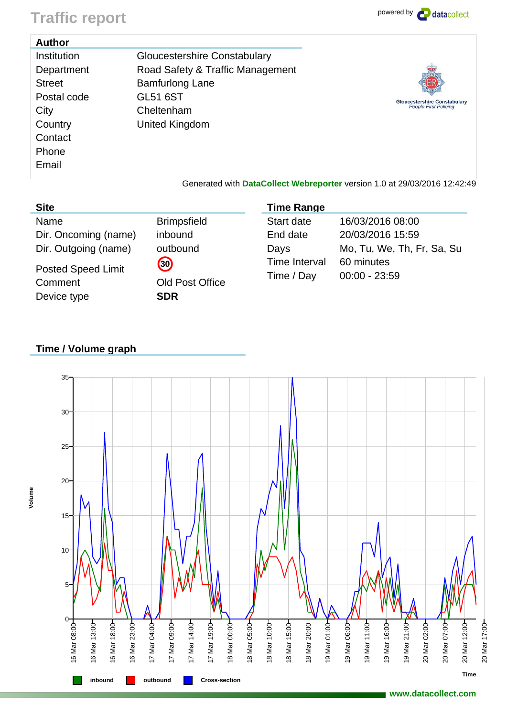## **Traffic report** powered by **P** datacollect

| <b>Author</b>                                             |                                                                                                                      |                                                                           |
|-----------------------------------------------------------|----------------------------------------------------------------------------------------------------------------------|---------------------------------------------------------------------------|
| Institution<br>Department<br><b>Street</b><br>Postal code | <b>Gloucestershire Constabulary</b><br>Road Safety & Traffic Management<br><b>Bamfurlong Lane</b><br><b>GL51 6ST</b> |                                                                           |
| City<br>Country<br>Contact<br>Phone<br>Email              | Cheltenham<br>United Kingdom                                                                                         | <b>Gloucestershire Constabulary</b><br><b>People First Policing</b>       |
|                                                           |                                                                                                                      | Generated with DataCollect Webreporter version 1.0 at 29/03/2016 12:42:49 |

### **Site**

**Volume**

Name Brimpsfield Dir. Oncoming (name) inbound Dir. Outgoing (name) outbound

Posted Speed Limit **30** Comment Old Post Office Device type **SDR** 

| <b>Time Range</b> |                            |
|-------------------|----------------------------|
| Start date        | 16/03/2016 08:00           |
| End date          | 20/03/2016 15:59           |
| Days              | Mo, Tu, We, Th, Fr, Sa, Su |
| Time Interval     | 60 minutes                 |
| Time / Day        | $00:00 - 23:59$            |

## **Time / Volume graph**

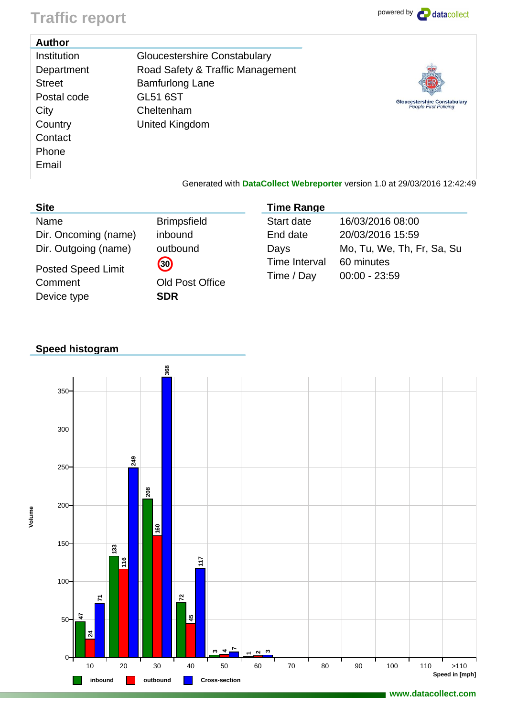## **Traffic report** powered by **P** datacollect

| <b>Author</b>                                                                           |                                                                                                                                               |                                                                     |
|-----------------------------------------------------------------------------------------|-----------------------------------------------------------------------------------------------------------------------------------------------|---------------------------------------------------------------------|
| Institution<br>Department<br><b>Street</b><br>Postal code<br>City<br>Country<br>Contact | Gloucestershire Constabulary<br>Road Safety & Traffic Management<br><b>Bamfurlong Lane</b><br><b>GL51 6ST</b><br>Cheltenham<br>United Kingdom | <b>Gloucestershire Constabulary</b><br><b>People First Policing</b> |
| Phone                                                                                   |                                                                                                                                               |                                                                     |
| Email                                                                                   |                                                                                                                                               |                                                                     |
|                                                                                         | Generated with DataCollect Webreporter version 1.0 at 29/03/2016 12:42:49                                                                     |                                                                     |

**Time Range**

Start date 16/03/2016 08:00 End date 20/03/2016 15:59

Time Interval 60 minutes Time / Day 00:00 - 23:59

Days Mo, Tu, We, Th, Fr, Sa, Su

| <b>SITE</b>          |                    |
|----------------------|--------------------|
| Name                 | <b>Brimpsfield</b> |
| Dir. Oncoming (name) | inbound            |
| Dir. Outgoing (name) | outbound           |
|                      |                    |

Posted Speed Limit **30** Comment Old Post Office Device type **SDR** 

## **Speed histogram**

**Site**

**Volume**



**www.datacollect.com**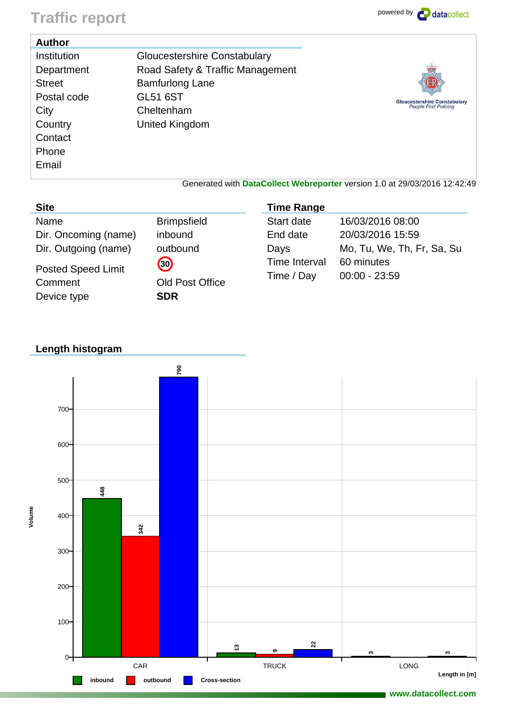# Traffic report **powered by**  $\bullet$  datacollect

| <b>Author</b>                                                                                             |                                                                                                                                                      |                                                                     |
|-----------------------------------------------------------------------------------------------------------|------------------------------------------------------------------------------------------------------------------------------------------------------|---------------------------------------------------------------------|
| Institution<br>Department<br><b>Street</b><br>Postal code<br>City<br>Country<br>Contact<br>Phone<br>Email | <b>Gloucestershire Constabulary</b><br>Road Safety & Traffic Management<br><b>Bamfurlong Lane</b><br><b>GL51 6ST</b><br>Cheltenham<br>United Kingdom | <b>Gloucestershire Constabulary</b><br><b>People First Policing</b> |
|                                                                                                           | Generated with DataCollect Webreporter version 1.0 at 29/03/2016 12:42:49                                                                            |                                                                     |

| <b>Site</b>                          |                       | <b>Time Range</b>           |                               |
|--------------------------------------|-----------------------|-----------------------------|-------------------------------|
| Name                                 | <b>Brimpsfield</b>    | Start date                  | 16/03/2016 08:00              |
| Dir. Oncoming (name)                 | inbound               | End date                    | 20/03/2016 15:59              |
| Dir. Outgoing (name)                 | outbound              | Days                        | Mo, Tu, We, Th, Fr, Sa, Su    |
| <b>Posted Speed Limit</b><br>Comment | 30<br>Old Post Office | Time Interval<br>Time / Day | 60 minutes<br>$00:00 - 23:59$ |
| Device type                          | <b>SDR</b>            |                             |                               |

## **Length histogram**

**Volume**



**www.datacollect.com**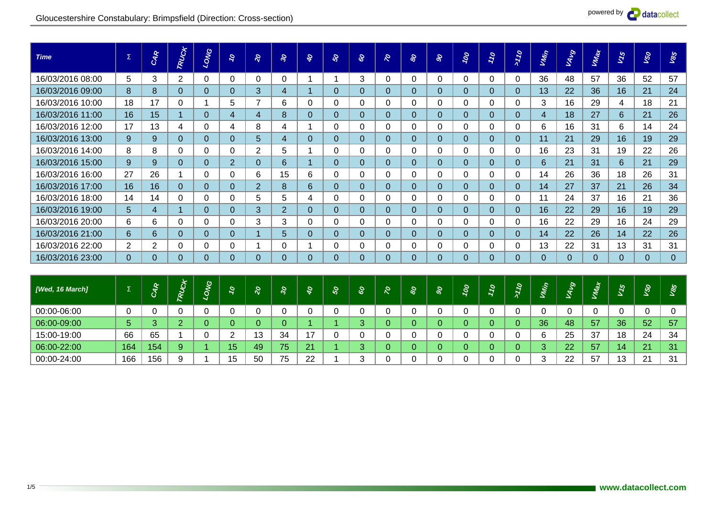

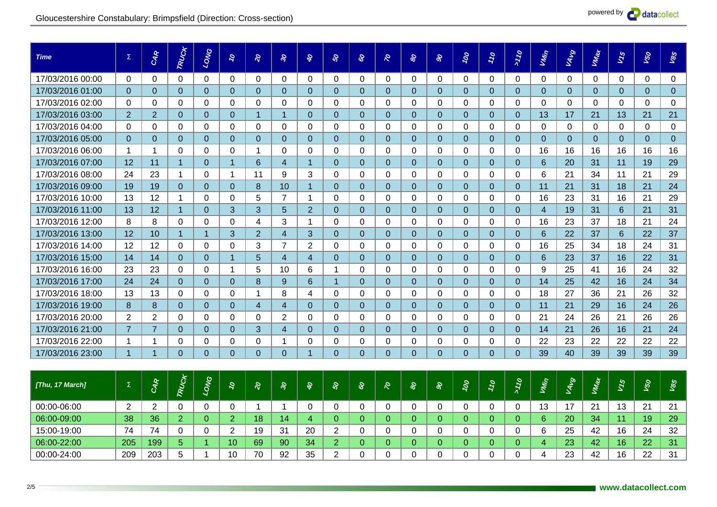| <b>Time</b>      | $\Sigma$       | CAR            | TRUCK          | LONG                  | $\mathcal{O}$  | $\delta$       | $\mathcal{S}$  | s,             | <b>S</b>       | 8 <sup>o</sup> | $\mathcal{Q}$  | 8        | $\mathbf{S}$ | 100      | 770      | $\sigma_{LL}$ | Vivin          | <b>RAND</b>  | VMax         | <b>V15</b> | 150          | 185            |
|------------------|----------------|----------------|----------------|-----------------------|----------------|----------------|----------------|----------------|----------------|----------------|----------------|----------|--------------|----------|----------|---------------|----------------|--------------|--------------|------------|--------------|----------------|
| 17/03/2016 00:00 | 0              | $\mathbf 0$    | 0              | 0                     | 0              | 0              | 0              | 0              | 0              | 0              | 0              | 0        | $\mathbf 0$  | 0        | $\Omega$ | $\Omega$      | $\Omega$       | $\mathbf 0$  | $\mathbf{0}$ | $\Omega$   | $\Omega$     | $\mathbf 0$    |
| 17/03/2016 01:00 | $\overline{0}$ | $\Omega$       | $\Omega$       | $\Omega$              | $\Omega$       | $\Omega$       | $\Omega$       | $\Omega$       | $\Omega$       | $\Omega$       | $\Omega$       | $\Omega$ | $\Omega$     | $\Omega$ | $\Omega$ | $\Omega$      | $\Omega$       | $\Omega$     | $\Omega$     | $\Omega$   | $\Omega$     | $\overline{0}$ |
| 17/03/2016 02:00 | 0              | $\Omega$       | 0              | 0                     | $\mathbf{0}$   | $\Omega$       | 0              | 0              | $\Omega$       | 0              | 0              | 0        | $\Omega$     | $\Omega$ | $\Omega$ | $\Omega$      | $\Omega$       | $\Omega$     | $\Omega$     | $\Omega$   | $\Omega$     | $\Omega$       |
| 17/03/2016 03:00 | 2              | $\overline{2}$ | $\Omega$       | $\Omega$              | $\Omega$       | $\overline{1}$ | $\overline{1}$ | $\Omega$       | $\Omega$       | $\Omega$       | $\Omega$       | $\Omega$ | $\Omega$     | $\Omega$ | $\Omega$ | $\Omega$      | 13             | 17           | 21           | 13         | 21           | 21             |
| 17/03/2016 04:00 | 0              | 0              | 0              | 0                     | 0              | 0              | 0              | $\Omega$       | 0              | $\Omega$       | 0              | $\Omega$ | $\Omega$     | $\Omega$ | $\Omega$ | 0             | $\Omega$       | $\mathbf{0}$ | $\Omega$     | $\Omega$   | $\mathbf{0}$ | 0              |
| 17/03/2016 05:00 | $\Omega$       | $\Omega$       | $\Omega$       | $\Omega$              | $\Omega$       | $\Omega$       | $\Omega$       | $\Omega$       | $\Omega$       | $\Omega$       | $\Omega$       | $\Omega$ | $\Omega$     | $\Omega$ | $\Omega$ | $\Omega$      | $\Omega$       | $\Omega$     | $\Omega$     | $\Omega$   | $\Omega$     | $\Omega$       |
| 17/03/2016 06:00 | 1              | -1             | $\Omega$       | $\Omega$              | $\Omega$       | -1             | $\Omega$       | $\Omega$       | $\Omega$       | $\Omega$       | $\Omega$       | 0        | $\Omega$     | $\Omega$ | $\Omega$ | $\Omega$      | 16             | 16           | 16           | 16         | 16           | 16             |
| 17/03/2016 07:00 | 12             | 11             | $\overline{1}$ | $\Omega$              | 1              | 6              | $\overline{4}$ | 1              | $\overline{0}$ | $\Omega$       | $\overline{0}$ | $\Omega$ | $\Omega$     | $\Omega$ | $\Omega$ | $\Omega$      | 6              | 20           | 31           | 11         | 19           | 29             |
| 17/03/2016 08:00 | 24             | 23             | $\mathbf 1$    | $\mathbf{0}$          | 1              | 11             | 9              | 3              | $\Omega$       | $\Omega$       | $\Omega$       | $\Omega$ | $\Omega$     | $\Omega$ | $\Omega$ | $\Omega$      | 6              | 21           | 34           | 11         | 21           | 29             |
| 17/03/2016 09:00 | 19             | 19             | $\Omega$       | $\Omega$              | $\Omega$       | 8              | 10             | $\overline{1}$ | $\Omega$       | $\Omega$       | $\Omega$       | $\Omega$ | $\Omega$     | $\Omega$ | $\Omega$ | $\Omega$      | 11             | 21           | 31           | 18         | 21           | 24             |
| 17/03/2016 10:00 | 13             | 12             | -1             | 0                     | $\Omega$       | 5              | 7              | -1             | $\Omega$       | 0              | $\Omega$       | 0        | $\Omega$     | 0        | 0        | 0             | 16             | 23           | 31           | 16         | 21           | 29             |
| 17/03/2016 11:00 | 13             | 12             | $\overline{1}$ | $\Omega$              | 3              | 3              | 5              | $\overline{2}$ | $\Omega$       | $\Omega$       | $\Omega$       | $\Omega$ | $\Omega$     | $\Omega$ | $\Omega$ | $\Omega$      | $\overline{4}$ | 19           | 31           | 6          | 21           | 31             |
| 17/03/2016 12:00 | 8              | 8              | $\Omega$       | 0                     | $\Omega$       | 4              | 3              | -1             | $\Omega$       | $\Omega$       | $\Omega$       | $\Omega$ | $\Omega$     | 0        | $\Omega$ | $\Omega$      | 16             | 23           | 37           | 18         | 21           | 24             |
| 17/03/2016 13:00 | 12             | 10             | $\overline{1}$ | 1                     | 3              | $\overline{2}$ | $\overline{4}$ | 3              | $\Omega$       | $\Omega$       | $\Omega$       | $\Omega$ | $\Omega$     | $\Omega$ | $\Omega$ | $\Omega$      | 6              | 22           | 37           | 6          | 22           | 37             |
| 17/03/2016 14:00 | 12             | 12             | $\Omega$       | 0                     | $\mathbf{0}$   | 3              | $\overline{7}$ | $\overline{2}$ | $\Omega$       | $\Omega$       | $\Omega$       | $\Omega$ | $\Omega$     | $\Omega$ | $\Omega$ | $\Omega$      | 16             | 25           | 34           | 18         | 24           | 31             |
| 17/03/2016 15:00 | 14             | 14             | $\Omega$       | $\Omega$              | $\overline{1}$ | 5              | $\overline{4}$ | $\overline{4}$ | $\Omega$       | 0              | $\Omega$       | 0        | $\Omega$     | $\Omega$ | $\Omega$ | $\Omega$      | 6              | 23           | 37           | 16         | 22           | 31             |
| 17/03/2016 16:00 | 23             | 23             | $\Omega$       | 0                     | 1              | 5              | 10             | 6              | -1             | $\Omega$       | $\Omega$       | 0        | $\Omega$     | 0        | 0        | 0             | 9              | 25           | 41           | 16         | 24           | 32             |
| 17/03/2016 17:00 | 24             | 24             | $\Omega$       | $\Omega$              | $\Omega$       | 8              | 9              | 6              | $\overline{1}$ | $\Omega$       | $\Omega$       | $\Omega$ | $\Omega$     | $\Omega$ | $\Omega$ | $\Omega$      | 14             | 25           | 42           | 16         | 24           | 34             |
| 17/03/2016 18:00 | 13             | 13             | 0              | 0                     | 0              |                | 8              | 4              | $\Omega$       | 0              | 0              | 0        | 0            | $\Omega$ | $\Omega$ | 0             | 18             | 27           | 36           | 21         | 26           | 32             |
| 17/03/2016 19:00 | 8              | 8              | $\overline{0}$ | $\Omega$              | $\overline{0}$ | $\overline{4}$ | $\overline{4}$ | $\Omega$       | $\Omega$       | $\Omega$       | $\Omega$       | $\Omega$ | $\Omega$     | $\Omega$ | $\Omega$ | $\Omega$      | 11             | 21           | 29           | 16         | 24           | 26             |
| 17/03/2016 20:00 | 2              | 2              | 0              | $\mathbf{0}$          | $\mathbf{0}$   | $\Omega$       | 2              | $\Omega$       | $\Omega$       | $\Omega$       | $\Omega$       | $\Omega$ | $\Omega$     | 0        | $\Omega$ | $\Omega$      | 21             | 24           | 26           | 21         | 26           | 26             |
| 17/03/2016 21:00 | $\overline{7}$ | 7              | $\Omega$       | $\Omega$              | $\Omega$       | 3              | 4              | $\Omega$       | $\Omega$       | $\Omega$       | $\Omega$       | 0        | $\Omega$     | $\Omega$ | $\Omega$ | $\Omega$      | 14             | 21           | 26           | 16         | 21           | 24             |
| 17/03/2016 22:00 | 1              | -1             | $\Omega$       | 0                     | $\Omega$       | $\Omega$       | 1              | $\Omega$       | $\Omega$       | $\mathbf 0$    | $\Omega$       | 0        | 0            | 0        | $\Omega$ | 0             | 22             | 23           | 22           | 22         | 22           | 22             |
| 17/03/2016 23:00 | $\overline{1}$ |                | $\Omega$       | $\Omega$              | $\Omega$       | $\Omega$       | $\Omega$       |                | $\Omega$       | $\Omega$       | $\Omega$       | $\Omega$ | $\Omega$     | $\Omega$ | $\Omega$ | $\Omega$      | 39             | 40           | 39           | 39         | 39           | 39             |
|                  |                |                | $\ast$         | $\boldsymbol{\omega}$ |                |                |                |                |                |                |                |          |              |          |          |               |                |              |              |            |              |                |

| [Thu, 17 March] | $\mathbf{r}$<br>$\overline{ }$ | ىم  | $\boldsymbol{\mathcal{Q}}$ |    |    |    |    |  |  | $\sim$ | ` | $\tilde{\phantom{a}}$ |    | च<br>− |    |    |                 |     |
|-----------------|--------------------------------|-----|----------------------------|----|----|----|----|--|--|--------|---|-----------------------|----|--------|----|----|-----------------|-----|
| 00:00-06:00     | <u>_</u>                       |     |                            |    |    |    |    |  |  |        |   |                       | 12 | 17     | 21 | 13 | 21              | -21 |
| 06:00-09:00     | 38                             | 36  |                            |    | 18 | 14 |    |  |  |        |   |                       |    | 20     | 34 |    | 19 <sub>1</sub> | 29  |
| 15:00-19:00     | 74                             | 74  |                            |    | 19 | 31 | 20 |  |  |        |   |                       |    | 25     | 42 | 16 | 24              | 32  |
| 06:00-22:00     | 205                            | 199 |                            | 10 | 69 | 90 | 34 |  |  |        |   |                       |    | 23     | 42 | 16 | 22              | -31 |
| 00:00-24:00     | 209                            | 203 |                            | 10 | 70 | 92 | 35 |  |  |        |   |                       |    | 23     | 42 | 16 | 22              | 31  |

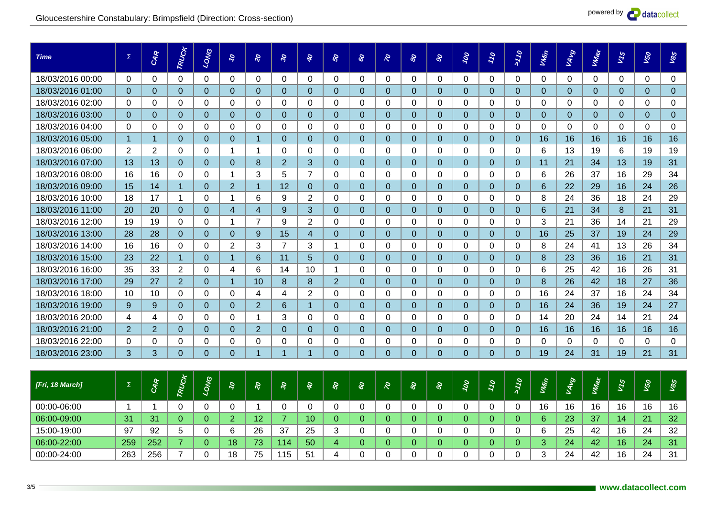

| <i><b>[Fri, 18 March]</b></i> | ∠   | <u>n</u><br>≂ | ಲ<br>O |    |    |    |    |  |  | $\sim$ | $\tilde{\phantom{a}}$ | $\tilde{\phantom{a}}$ |    | 9  | s  | ∽  | S,<br>∽ | প্ৰ<br>তে |
|-------------------------------|-----|---------------|--------|----|----|----|----|--|--|--------|-----------------------|-----------------------|----|----|----|----|---------|-----------|
| 00:00-06:00                   |     |               |        |    |    |    |    |  |  |        |                       |                       | 16 | 16 | 16 | 16 | 16      | 16        |
| 06:00-09:00                   | 31  | 31            |        |    | 12 |    | 10 |  |  |        |                       |                       | 6  | 23 | 37 | 14 | 21      | 32        |
| 15:00-19:00                   | 97  | 92            |        |    | 26 | 37 | 25 |  |  |        |                       |                       |    | 25 | 42 | 16 | 24      | 32        |
| 06:00-22:00                   | 259 | 252           |        | 18 | 73 | 14 | 50 |  |  |        |                       |                       |    | 24 | 42 | 16 | 24      | 31        |
| 00:00-24:00                   | 263 | 256           |        | 18 | 75 | 15 | 51 |  |  |        |                       |                       |    | 24 | 42 | 16 | 24      | 31        |

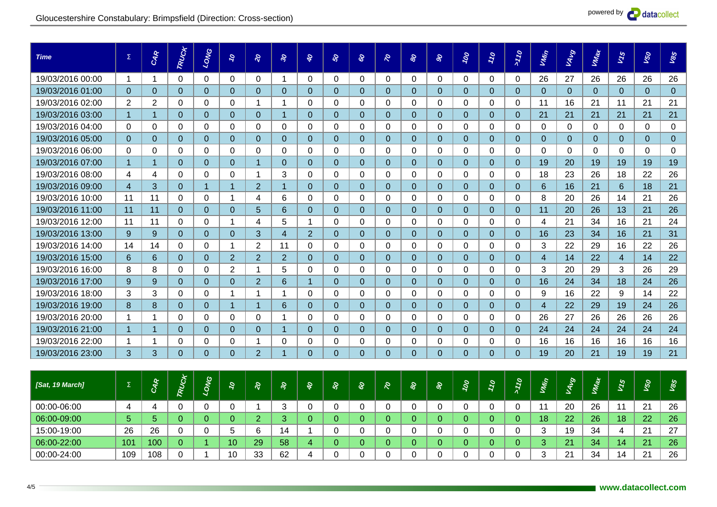

| [Sat, 19 March] | $\sim$<br>∸ | ىم<br>- | $\boldsymbol{\omega}$ |                 |    |    |  | a. | တဲ | $\sim$ | $\sim$ |    | ာ .     | s<br>∽ | ৸<br>- | Q.<br>∽ |    |
|-----------------|-------------|---------|-----------------------|-----------------|----|----|--|----|----|--------|--------|----|---------|--------|--------|---------|----|
| 00:00-06:00     |             |         |                       |                 |    |    |  |    |    |        |        |    | 20      | 26     |        | 21      | 26 |
| 06:00-09:00     |             |         |                       |                 |    |    |  |    |    |        |        | 18 | 22      | 26     | 18     | 22      | 26 |
| 15:00-19:00     | 26          | 26      |                       |                 | ⌒  |    |  |    |    |        |        |    | 19      | 34     |        | 21      | 27 |
| 06:00-22:00     | 101         | 100     |                       | 10              | 29 | 58 |  |    |    |        |        |    | 21      | 34     | 14     | 21      | 26 |
| 00:00-24:00     | 109         | 108     |                       | 10 <sup>°</sup> | 33 | 62 |  |    |    |        |        |    | 21<br>∼ | 34     | 14     | 21      | 26 |